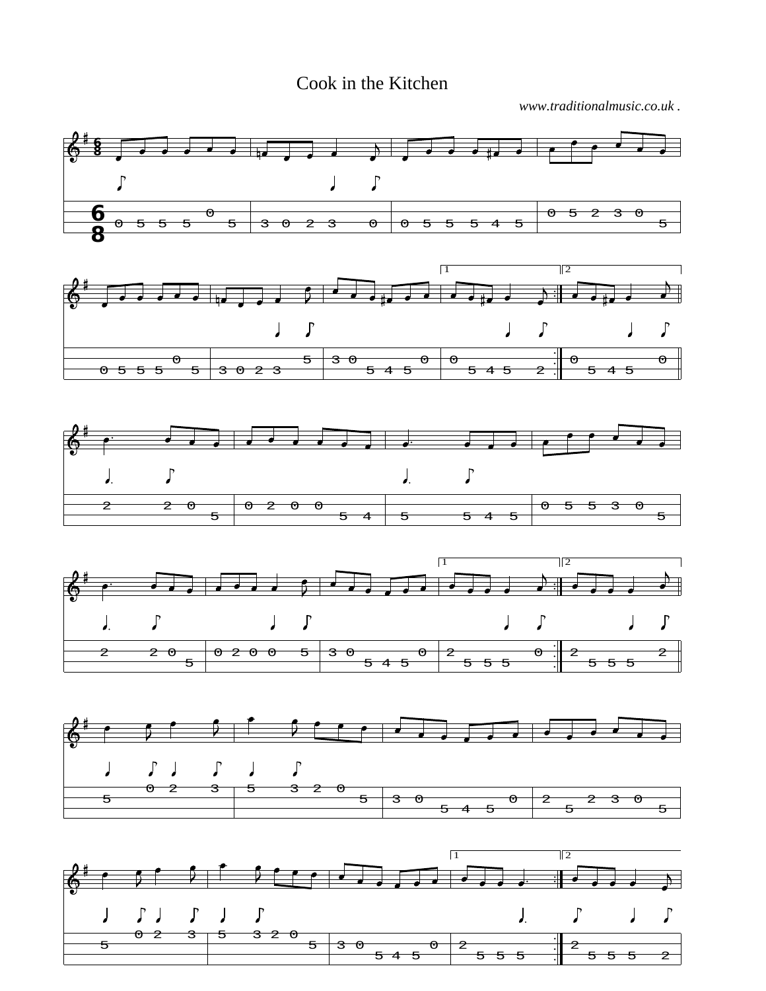## Cook in the Kitchen

*www.traditionalmusic.co.uk .*

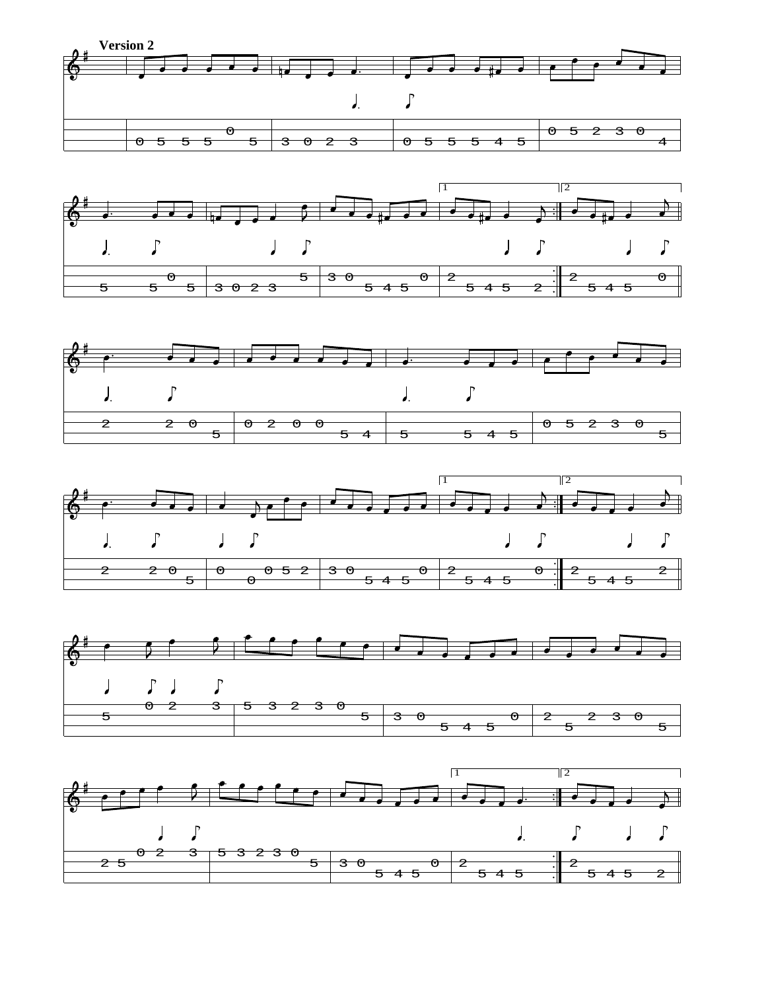